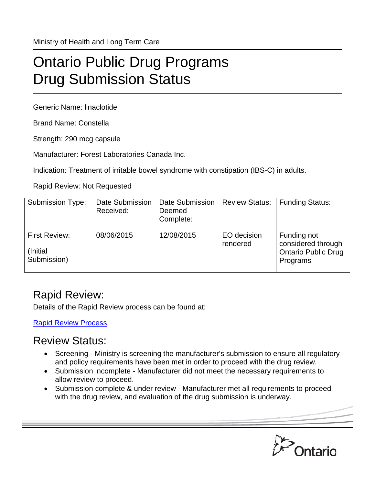Ministry of Health and Long Term Care

## Ontario Public Drug Programs Drug Submission Status

Generic Name: linaclotide

Brand Name: Constella

Strength: 290 mcg capsule

Manufacturer: Forest Laboratories Canada Inc.

Indication: Treatment of irritable bowel syndrome with constipation (IBS-C) in adults.

Rapid Review: Not Requested

| <b>Submission Type:</b>                          | Date Submission<br>Received: | <b>Date Submission</b><br>Deemed<br>Complete: | <b>Review Status:</b>   | <b>Funding Status:</b>                                                      |
|--------------------------------------------------|------------------------------|-----------------------------------------------|-------------------------|-----------------------------------------------------------------------------|
| <b>First Review:</b><br>(Initial)<br>Submission) | 08/06/2015                   | 12/08/2015                                    | EO decision<br>rendered | Funding not<br>considered through<br><b>Ontario Public Drug</b><br>Programs |

## Rapid Review:

Details of the Rapid Review process can be found at:

[Rapid Review Process](http://www.health.gov.on.ca/en/pro/programs/drugs/drug_submissions/rapid_review_process.aspx)

## Review Status:

- Screening Ministry is screening the manufacturer's submission to ensure all regulatory and policy requirements have been met in order to proceed with the drug review.
- Submission incomplete Manufacturer did not meet the necessary requirements to allow review to proceed.
- Submission complete & under review Manufacturer met all requirements to proceed with the drug review, and evaluation of the drug submission is underway.